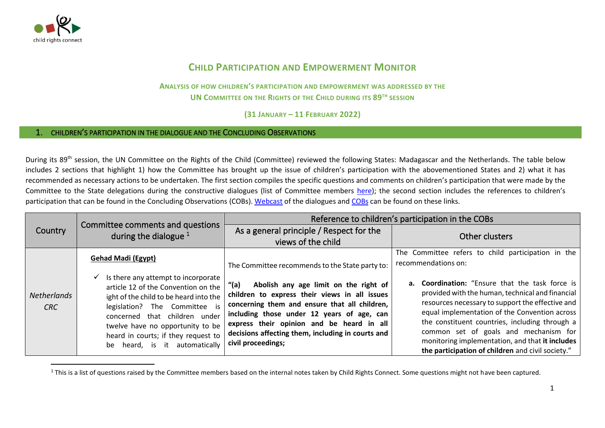

## **CHILD PARTICIPATION AND EMPOWERMENT MONITOR**

**ANALYSIS OF HOW CHILDREN'S PARTICIPATION AND EMPOWERMENT WAS ADDRESSED BY THE UN COMMITTEE ON THE RIGHTS OF THE CHILD DURING ITS 89TH SESSION**

**(31 JANUARY – 11 FEBRUARY 2022)**

## 1. CHILDREN'S PARTICIPATION IN THE DIALOGUE AND THE CONCLUDING OBSERVATIONS

During its 89<sup>th</sup> session, the UN Committee on the Rights of the Child (Committee) reviewed the following States: Madagascar and the Netherlands. The table below includes 2 sections that highlight 1) how the Committee has brought up the issue of children's participation with the abovementioned States and 2) what it has recommended as necessary actions to be undertaken. The first section compiles the specific questions and comments on children's participation that were made by the Committee to the State delegations during the constructive dialogues (list of Committee members [here\)](http://www.ohchr.org/EN/HRBodies/CRC/Pages/Membership.aspx); the second section includes the references to children's participation that can be found in the Concluding Observations (COBs). [Webcast](https://media.un.org/en/webtv/) of the dialogues and [COBs](https://tbinternet.ohchr.org/_layouts/15/treatybodyexternal/SessionDetails1.aspx?SessionID=1400&Lang=en) can be found on these links.

|                           |                                                                                                                                                                                                                                                             | Reference to children's participation in the COBs                                                                                                                                                                                                                                                                     |                                                                                                                                                                                                                                                                                                                                                                                                                    |
|---------------------------|-------------------------------------------------------------------------------------------------------------------------------------------------------------------------------------------------------------------------------------------------------------|-----------------------------------------------------------------------------------------------------------------------------------------------------------------------------------------------------------------------------------------------------------------------------------------------------------------------|--------------------------------------------------------------------------------------------------------------------------------------------------------------------------------------------------------------------------------------------------------------------------------------------------------------------------------------------------------------------------------------------------------------------|
| Country                   | Committee comments and questions<br>during the dialogue $1$                                                                                                                                                                                                 | As a general principle / Respect for the                                                                                                                                                                                                                                                                              | Other clusters                                                                                                                                                                                                                                                                                                                                                                                                     |
|                           |                                                                                                                                                                                                                                                             | views of the child                                                                                                                                                                                                                                                                                                    |                                                                                                                                                                                                                                                                                                                                                                                                                    |
|                           | <b>Gehad Madi (Egypt)</b><br>Is there any attempt to incorporate<br>✓                                                                                                                                                                                       | The Committee recommends to the State party to:                                                                                                                                                                                                                                                                       | The Committee refers to child participation in the<br>recommendations on:                                                                                                                                                                                                                                                                                                                                          |
| <b>Netherlands</b><br>CRC | article 12 of the Convention on the<br>ight of the child to be heard into the<br>legislation? The Committee is<br>concerned that children under<br>twelve have no opportunity to be<br>heard in courts; if they request to<br>be heard, is it automatically | Abolish any age limit on the right of<br>"(a)<br>children to express their views in all issues<br>concerning them and ensure that all children,<br>including those under 12 years of age, can<br>express their opinion and be heard in all<br>decisions affecting them, including in courts and<br>civil proceedings; | <b>a.</b> Coordination: "Ensure that the task force is<br>provided with the human, technical and financial<br>resources necessary to support the effective and<br>equal implementation of the Convention across<br>the constituent countries, including through a<br>common set of goals and mechanism for<br>monitoring implementation, and that it includes<br>the participation of children and civil society." |

<sup>&</sup>lt;sup>1</sup> This is a list of questions raised by the Committee members based on the internal notes taken by Child Rights Connect. Some questions might not have been captured.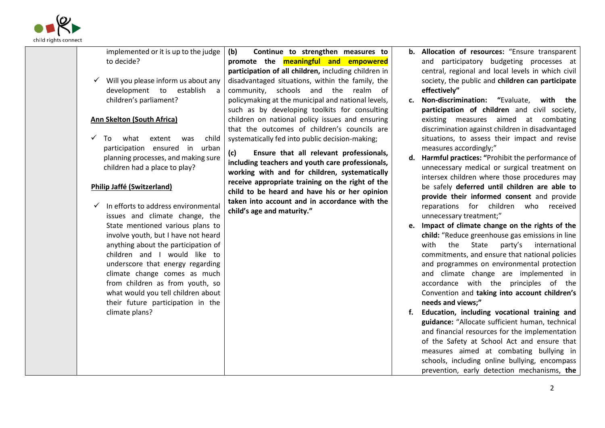

| implemented or it is up to the judge<br>to decide?<br>Will you please inform us about any                                                                                                                                                                                                                                                                                                                                                                                                                                                                                                                                                                                                                      | (b)<br>Continue to strengthen measures to<br>promote the <b>meaningful and empowered</b><br>participation of all children, including children in<br>disadvantaged situations, within the family, the                                                                                                                                                                                                                                                                                                                                                                                                                                           |                | b. Allocation of resources: "Ensure transparent<br>and participatory budgeting processes at<br>central, regional and local levels in which civil<br>society, the public and children can participate                                                                                                                                                                                                                                                                                                                                                                                                                                                                                                                                                                                                                                                                                                                                                                                                                                                                                                                                                                                                                                                                                                                       |
|----------------------------------------------------------------------------------------------------------------------------------------------------------------------------------------------------------------------------------------------------------------------------------------------------------------------------------------------------------------------------------------------------------------------------------------------------------------------------------------------------------------------------------------------------------------------------------------------------------------------------------------------------------------------------------------------------------------|------------------------------------------------------------------------------------------------------------------------------------------------------------------------------------------------------------------------------------------------------------------------------------------------------------------------------------------------------------------------------------------------------------------------------------------------------------------------------------------------------------------------------------------------------------------------------------------------------------------------------------------------|----------------|----------------------------------------------------------------------------------------------------------------------------------------------------------------------------------------------------------------------------------------------------------------------------------------------------------------------------------------------------------------------------------------------------------------------------------------------------------------------------------------------------------------------------------------------------------------------------------------------------------------------------------------------------------------------------------------------------------------------------------------------------------------------------------------------------------------------------------------------------------------------------------------------------------------------------------------------------------------------------------------------------------------------------------------------------------------------------------------------------------------------------------------------------------------------------------------------------------------------------------------------------------------------------------------------------------------------------|
| development to<br>establish<br>a<br>children's parliament?<br><b>Ann Skelton (South Africa)</b><br>child<br>what<br>extent<br>To<br>was<br>participation ensured in urban<br>planning processes, and making sure<br>children had a place to play?<br>Philip Jaffé (Switzerland)<br>In efforts to address environmental<br>issues and climate change, the<br>State mentioned various plans to<br>involve youth, but I have not heard<br>anything about the participation of<br>children and I would like to<br>underscore that energy regarding<br>climate change comes as much<br>from children as from youth, so<br>what would you tell children about<br>their future participation in the<br>climate plans? | community, schools and the realm<br>of<br>policymaking at the municipal and national levels,<br>such as by developing toolkits for consulting<br>children on national policy issues and ensuring<br>that the outcomes of children's councils are<br>systematically fed into public decision-making;<br>(c)<br>Ensure that all relevant professionals,<br>including teachers and youth care professionals,<br>working with and for children, systematically<br>receive appropriate training on the right of the<br>child to be heard and have his or her opinion<br>taken into account and in accordance with the<br>child's age and maturity." | c.<br>d.<br>e. | effectively"<br>Non-discrimination: "Evaluate, with the<br>participation of children and civil society,<br>existing measures aimed at combating<br>discrimination against children in disadvantaged<br>situations, to assess their impact and revise<br>measures accordingly;"<br>Harmful practices: "Prohibit the performance of<br>unnecessary medical or surgical treatment on<br>intersex children where those procedures may<br>be safely deferred until children are able to<br>provide their informed consent and provide<br>reparations for children<br>who<br>received<br>unnecessary treatment;"<br>Impact of climate change on the rights of the<br>child: "Reduce greenhouse gas emissions in line<br>with<br>the<br>State<br>party's<br>international<br>commitments, and ensure that national policies<br>and programmes on environmental protection<br>and climate change are implemented in<br>accordance with the principles of the<br>Convention and taking into account children's<br>needs and views;"<br>Education, including vocational training and<br>guidance: "Allocate sufficient human, technical<br>and financial resources for the implementation<br>of the Safety at School Act and ensure that<br>measures aimed at combating bullying in<br>schools, including online bullying, encompass |
|                                                                                                                                                                                                                                                                                                                                                                                                                                                                                                                                                                                                                                                                                                                |                                                                                                                                                                                                                                                                                                                                                                                                                                                                                                                                                                                                                                                |                | prevention, early detection mechanisms, the                                                                                                                                                                                                                                                                                                                                                                                                                                                                                                                                                                                                                                                                                                                                                                                                                                                                                                                                                                                                                                                                                                                                                                                                                                                                                |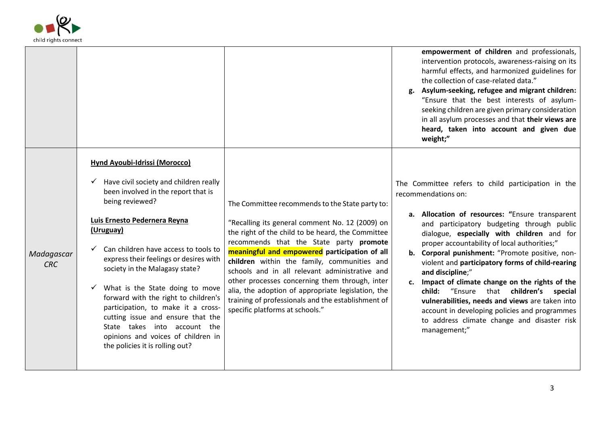

|                          |                                                                                                                                                                                                                                                                                                                                                                                                                                                                                                                                                                          |                                                                                                                                                                                                                                                                                                                                                                                                                                                                                                                                                       | empowerment of children and professionals,<br>intervention protocols, awareness-raising on its<br>harmful effects, and harmonized guidelines for<br>the collection of case-related data."<br>Asylum-seeking, refugee and migrant children:<br>g.<br>"Ensure that the best interests of asylum-<br>seeking children are given primary consideration<br>in all asylum processes and that their views are<br>heard, taken into account and given due<br>weight;"                                                                                                                                                                                                              |
|--------------------------|--------------------------------------------------------------------------------------------------------------------------------------------------------------------------------------------------------------------------------------------------------------------------------------------------------------------------------------------------------------------------------------------------------------------------------------------------------------------------------------------------------------------------------------------------------------------------|-------------------------------------------------------------------------------------------------------------------------------------------------------------------------------------------------------------------------------------------------------------------------------------------------------------------------------------------------------------------------------------------------------------------------------------------------------------------------------------------------------------------------------------------------------|----------------------------------------------------------------------------------------------------------------------------------------------------------------------------------------------------------------------------------------------------------------------------------------------------------------------------------------------------------------------------------------------------------------------------------------------------------------------------------------------------------------------------------------------------------------------------------------------------------------------------------------------------------------------------|
| Madagascar<br><b>CRC</b> | <b>Hynd Ayoubi-Idrissi (Morocco)</b><br>Have civil society and children really<br>been involved in the report that is<br>being reviewed?<br>Luis Ernesto Pedernera Reyna<br>(Uruguay)<br>Can children have access to tools to<br>express their feelings or desires with<br>society in the Malagasy state?<br>What is the State doing to move<br>forward with the right to children's<br>participation, to make it a cross-<br>cutting issue and ensure that the<br>State takes into account the<br>opinions and voices of children in<br>the policies it is rolling out? | The Committee recommends to the State party to:<br>"Recalling its general comment No. 12 (2009) on<br>the right of the child to be heard, the Committee<br>recommends that the State party promote<br>meaningful and empowered participation of all<br>children within the family, communities and<br>schools and in all relevant administrative and<br>other processes concerning them through, inter<br>alia, the adoption of appropriate legislation, the<br>training of professionals and the establishment of<br>specific platforms at schools." | The Committee refers to child participation in the<br>recommendations on:<br>a. Allocation of resources: "Ensure transparent<br>and participatory budgeting through public<br>dialogue, especially with children and for<br>proper accountability of local authorities;"<br>b. Corporal punishment: "Promote positive, non-<br>violent and participatory forms of child-rearing<br>and discipline;"<br>c. Impact of climate change on the rights of the<br>child:<br>"Ensure<br>that children's special<br>vulnerabilities, needs and views are taken into<br>account in developing policies and programmes<br>to address climate change and disaster risk<br>management;" |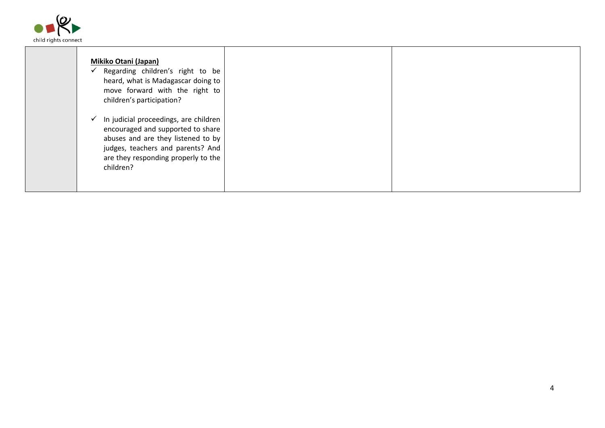

| <b>Mikiko Otani (Japan)</b><br>Regarding children's right to be<br>heard, what is Madagascar doing to<br>move forward with the right to<br>children's participation?                                                      |  |
|---------------------------------------------------------------------------------------------------------------------------------------------------------------------------------------------------------------------------|--|
| In judicial proceedings, are children<br>$\checkmark$<br>encouraged and supported to share<br>abuses and are they listened to by<br>judges, teachers and parents? And<br>are they responding properly to the<br>children? |  |